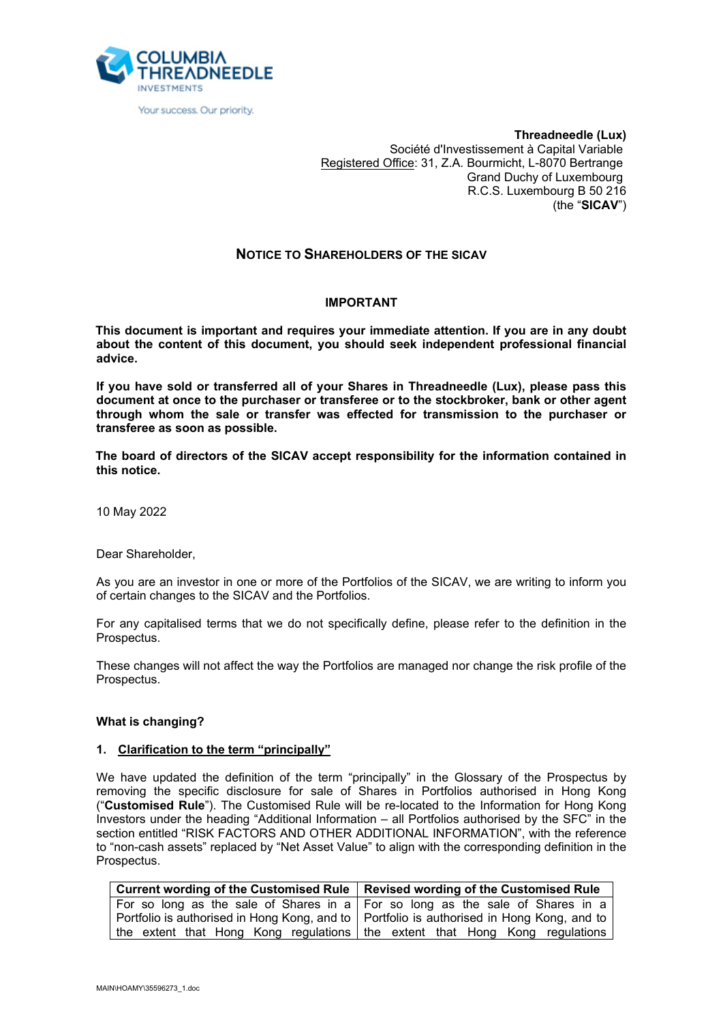

Your success. Our priority.

**Threadneedle (Lux)** Société d'Investissement à Capital Variable Registered Office: 31, Z.A. Bourmicht, L-8070 Bertrange Grand Duchy of Luxembourg R.C.S. Luxembourg B 50 216 (the "**SICAV**")

# **NOTICE TO SHAREHOLDERS OF THE SICAV**

## **IMPORTANT**

**This document is important and requires your immediate attention. If you are in any doubt about the content of this document, you should seek independent professional financial advice.**

**If you have sold or transferred all of your Shares in Threadneedle (Lux), please pass this document at once to the purchaser or transferee or to the stockbroker, bank or other agent through whom the sale or transfer was effected for transmission to the purchaser or transferee as soon as possible.**

**The board of directors of the SICAV accept responsibility for the information contained in this notice.**

10 May 2022

Dear Shareholder,

As you are an investor in one or more of the Portfolios of the SICAV, we are writing to inform you of certain changes to the SICAV and the Portfolios.

For any capitalised terms that we do not specifically define, please refer to the definition in the Prospectus.

These changes will not affect the way the Portfolios are managed nor change the risk profile of the Prospectus.

### **What is changing?**

### **1. Clarification to the term "principally"**

We have updated the definition of the term "principally" in the Glossary of the Prospectus by removing the specific disclosure for sale of Shares in Portfolios authorised in Hong Kong ("**Customised Rule**"). The Customised Rule will be re-located to the Information for Hong Kong Investors under the heading "Additional Information – all Portfolios authorised by the SFC" in the section entitled "RISK FACTORS AND OTHER ADDITIONAL INFORMATION", with the reference to "non-cash assets" replaced by "Net Asset Value" to align with the corresponding definition in the Prospectus.

| Current wording of the Customised Rule   Revised wording of the Customised Rule             |
|---------------------------------------------------------------------------------------------|
| For so long as the sale of Shares in a $\vert$ For so long as the sale of Shares in a       |
| Portfolio is authorised in Hong Kong, and to   Portfolio is authorised in Hong Kong, and to |
| the extent that Hong Kong regulations the extent that Hong Kong regulations                 |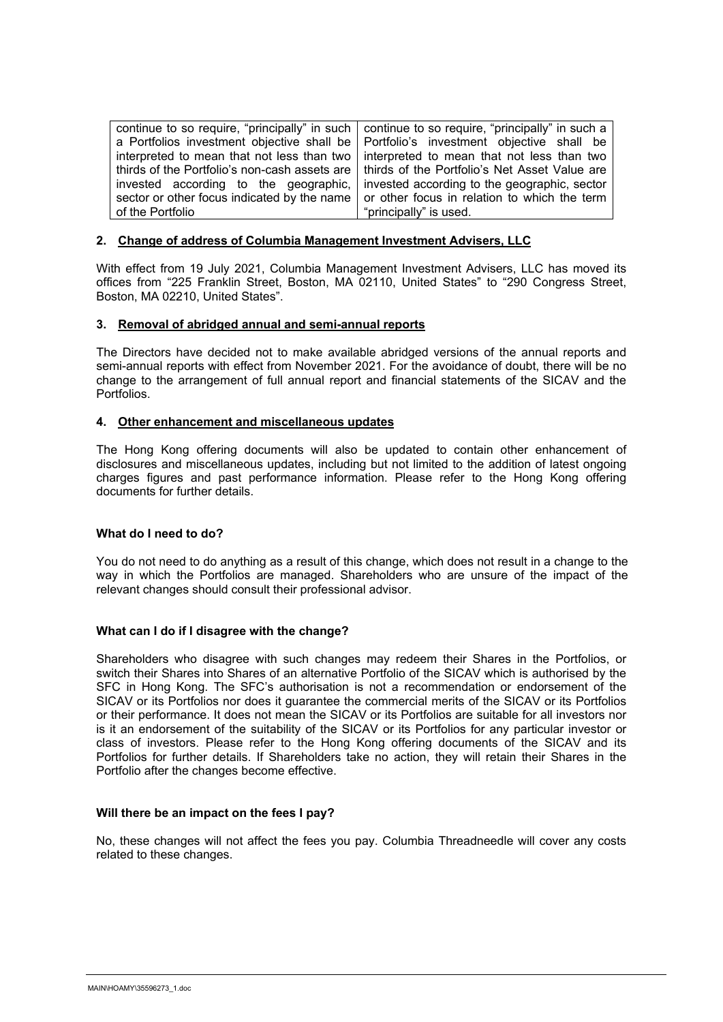continue to so require, "principally" in such a Portfolios investment objective shall be interpreted to mean that not less than two thirds of the Portfolio's non-cash assets are invested according to the geographic, sector or other focus indicated by the name of the Portfolio continue to so require, "principally" in such a Portfolio's investment objective shall be interpreted to mean that not less than two thirds of the Portfolio's Net Asset Value are invested according to the geographic, sector or other focus in relation to which the term "principally" is used.

## **2. Change of address of Columbia Management Investment Advisers, LLC**

With effect from 19 July 2021, Columbia Management Investment Advisers, LLC has moved its offices from "225 Franklin Street, Boston, MA 02110, United States" to "290 Congress Street, Boston, MA 02210, United States".

### **3. Removal of abridged annual and semi-annual reports**

The Directors have decided not to make available abridged versions of the annual reports and semi-annual reports with effect from November 2021. For the avoidance of doubt, there will be no change to the arrangement of full annual report and financial statements of the SICAV and the Portfolios.

### **4. Other enhancement and miscellaneous updates**

The Hong Kong offering documents will also be updated to contain other enhancement of disclosures and miscellaneous updates, including but not limited to the addition of latest ongoing charges figures and past performance information. Please refer to the Hong Kong offering documents for further details.

### **What do I need to do?**

You do not need to do anything as a result of this change, which does not result in a change to the way in which the Portfolios are managed. Shareholders who are unsure of the impact of the relevant changes should consult their professional advisor.

## **What can I do if I disagree with the change?**

Shareholders who disagree with such changes may redeem their Shares in the Portfolios, or switch their Shares into Shares of an alternative Portfolio of the SICAV which is authorised by the SFC in Hong Kong. The SFC's authorisation is not a recommendation or endorsement of the SICAV or its Portfolios nor does it guarantee the commercial merits of the SICAV or its Portfolios or their performance. It does not mean the SICAV or its Portfolios are suitable for all investors nor is it an endorsement of the suitability of the SICAV or its Portfolios for any particular investor or class of investors. Please refer to the Hong Kong offering documents of the SICAV and its Portfolios for further details. If Shareholders take no action, they will retain their Shares in the Portfolio after the changes become effective.

### **Will there be an impact on the fees I pay?**

No, these changes will not affect the fees you pay. Columbia Threadneedle will cover any costs related to these changes.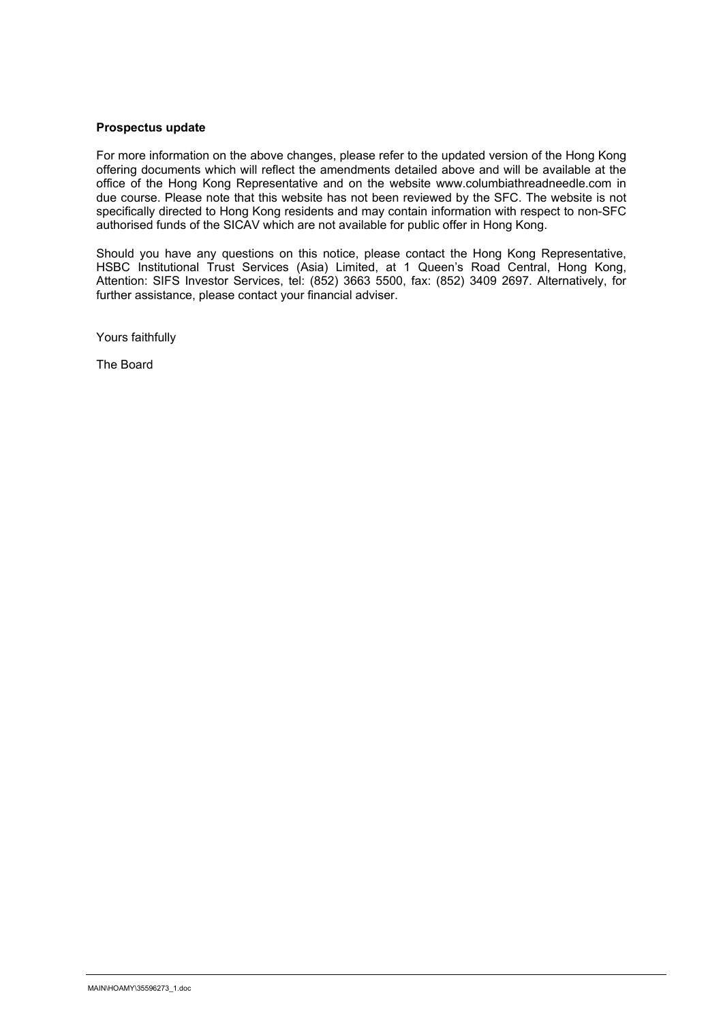## **Prospectus update**

For more information on the above changes, please refer to the updated version of the Hong Kong offering documents which will reflect the amendments detailed above and will be available at the office of the Hong Kong Representative and on the website www.columbiathreadneedle.com in due course. Please note that this website has not been reviewed by the SFC. The website is not specifically directed to Hong Kong residents and may contain information with respect to non-SFC authorised funds of the SICAV which are not available for public offer in Hong Kong.

Should you have any questions on this notice, please contact the Hong Kong Representative, HSBC Institutional Trust Services (Asia) Limited, at 1 Queen's Road Central, Hong Kong, Attention: SIFS Investor Services, tel: (852) 3663 5500, fax: (852) 3409 2697. Alternatively, for further assistance, please contact your financial adviser.

Yours faithfully

The Board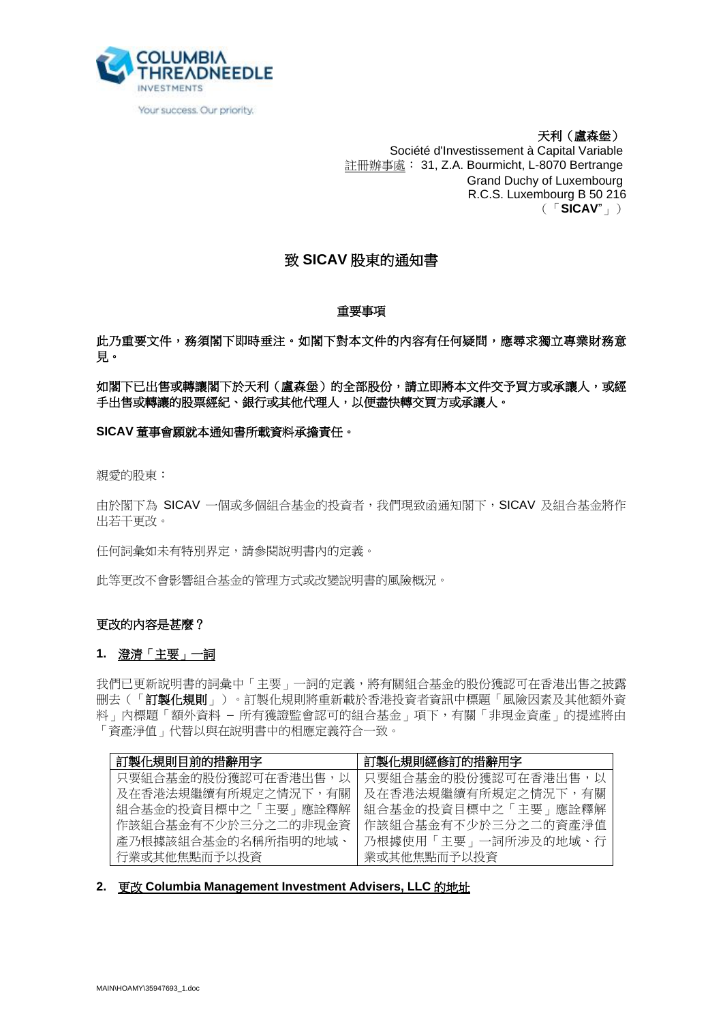

Your success. Our priority.

天利(盧森堡) Société d'Investissement à Capital Variable 註冊辦事處: 31, Z.A. Bourmicht, L-8070 Bertrange Grand Duchy of Luxembourg R.C.S. Luxembourg B 50 216 (「**SICAV**"」)

# 致 **SICAV** 股東的通知書

## 重要事項

此乃重要文件,務須閣下即時垂注。如閣下對本文件的內容有任何疑問,應尋求獨立專業財務意 見。

如閣下已出售或轉讓閣下於天利(盧森堡)的全部股份,請立即將本文件交予買方或承讓人,或經 手出售或轉讓的股票經紀、銀行或其他代理人,以便盡快轉交買方或承讓人。

# **SICAV** 董事會願就本通知書所載資料承擔責任。

親愛的股東:

由於閣下為 SICAV 一個或多個組合基金的投資者,我們現致函通知閣下,SICAV 及組合基金將作 出若干更改。

任何詞彙如未有特別界定,請參閱說明書內的定義。

此等更改不會影響組合基金的管理方式或改變說明書的風險概況。

# 更改的內容是甚麼?

### **1.** 澄清「主要」一詞

我們已更新說明書的詞彙中「主要」一詞的定義,將有關組合基金的股份獲認可在香港出售之披露 删去(「訂製化規則」)。訂製化規則將重新載於香港投資者資訊中標題「風險因素及其他額外資 料」內標題「額外資料 – 所有獲證監會認可的組合基金」項下,有關「非現金資產」的提述將由 「資產淨值」代替以與在說明書中的相應定義符合一致。

| 訂製化規則目前的措辭用字        | 訂製化規則經修訂的措辭用字       |
|---------------------|---------------------|
| 只要組合基金的股份獲認可在香港出售,以 | 只要組合基金的股份獲認可在香港出售,以 |
| 及在香港法規繼續有所規定之情況下,有關 | 及在香港法規繼續有所規定之情況下,有關 |
| 組合基金的投資目標中之「主要」應詮釋解 | 組合基金的投資目標中之「主要」應詮釋解 |
| 作該組合基金有不少於三分之二的非現金資 | 作該組合基金有不少於三分之二的資產淨值 |
| 產乃根據該組合基金的名稱所指明的地域、 | 乃根據使用「主要」一詞所涉及的地域、行 |
| 行業或其他焦點而予以投資        | 業或其他焦點而予以投資         |

## **2.** 更改 **Columbia Management Investment Advisers, LLC** 的地址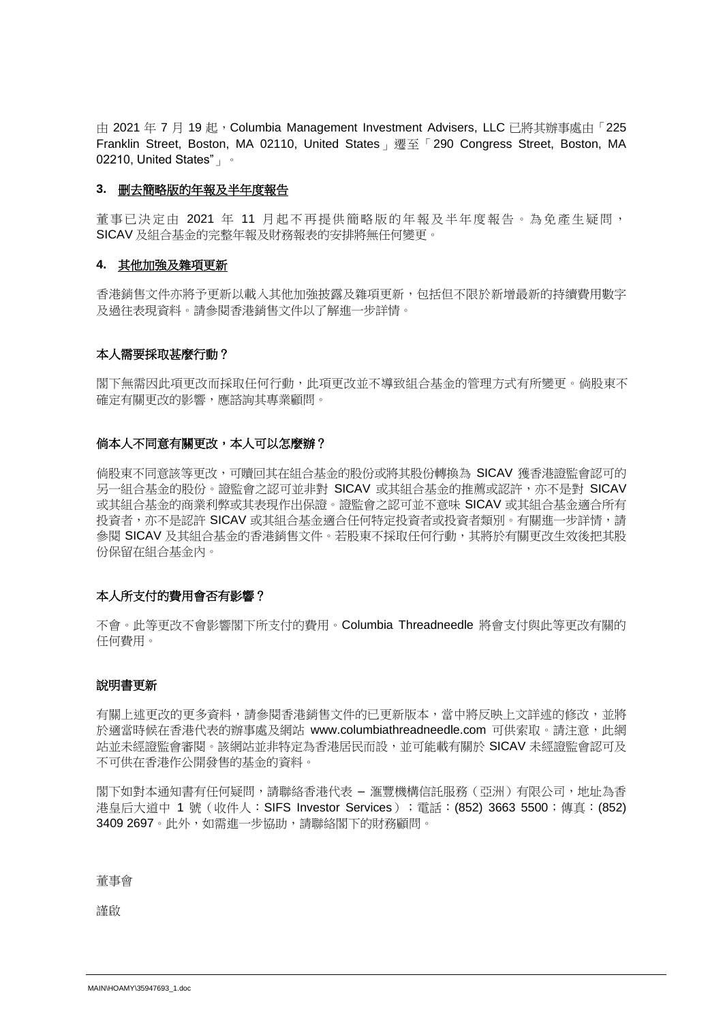由 2021 年 7 月 19 起, Columbia Management Investment Advisers, LLC 已將其辦事處由「225 Franklin Street, Boston, MA 02110, United States」遷至「290 Congress Street, Boston, MA 02210, United States"」。

## **3.** 删去簡略版的年報及半年度報告

董事已決定由 2021 年 11 月起不再提供簡略版的年報及半年度報告。為免產生疑問, SICAV 及組合基金的完整年報及財務報表的安排將無任何變更。

### **4.** 其他加強及雜項更新

香港銷售文件亦將予更新以載入其他加強披露及雜項更新,包括但不限於新增最新的持續費用數字 及過往表現資料。請參閱香港銷售文件以了解進一步詳情。

## 本人需要採取甚麼行動?

閣下無需因此項更改而採取任何行動,此項更改並不導致組合基金的管理方式有所變更。倘股東不 確定有關更改的影響,應諮詢其專業顧問。

## 倘本人不同意有關更改,本人可以怎麼辦?

倘股東不同意該等更改,可贖回其在組合基金的股份或將其股份轉換為 SICAV 獲香港證監會認可的 另一組合基金的股份。證監會之認可並非對 SICAV 或其組合基金的推薦或認許,亦不是對 SICAV 或其組合基金的商業利弊或其表現作出保證。證監會之認可並不意味 SICAV 或其組合基金適合所有 投資者,亦不是認許 SICAV 或其組合基金適合任何特定投資者或投資者類別。有關進一步詳情,請 參閱 SICAV 及其組合基金的香港銷售文件。若股東不採取任何行動,其將於有關更改生效後把其股 份保留在組合基金內。

# 本人所支付的費用會否有影響?

不會。此等更改不會影響閣下所支付的費用。Columbia Threadneedle 將會支付與此等更改有關的 任何費用。

### 說明書更新

有關上述更改的更多資料,請參閱香港銷售文件的已更新版本,當中將反映上文詳述的修改,並將 於適當時候在香港代表的辦事處及網站 [www.columbiathreadneedle.com](http://www.columbiathreadneedle.com/) 可供索取。請注意,此網 站並未經證監會審閱。該網站並非特定為香港居民而設,並可能載有關於 SICAV 未經證監會認可及 不可供在香港作公開發售的基金的資料。

閣下如對本通知書有任何疑問,請聯絡香港代表 – 滙豐機構信託服務 (亞洲) 有限公司,地址為香 港皇后大道中 1 號 (收件人:SIFS Investor Services);電話:(852) 3663 5500;傳真:(852) 3409 2697。此外,如需進一步協助,請聯絡閣下的財務顧問。

董事會

謹啟